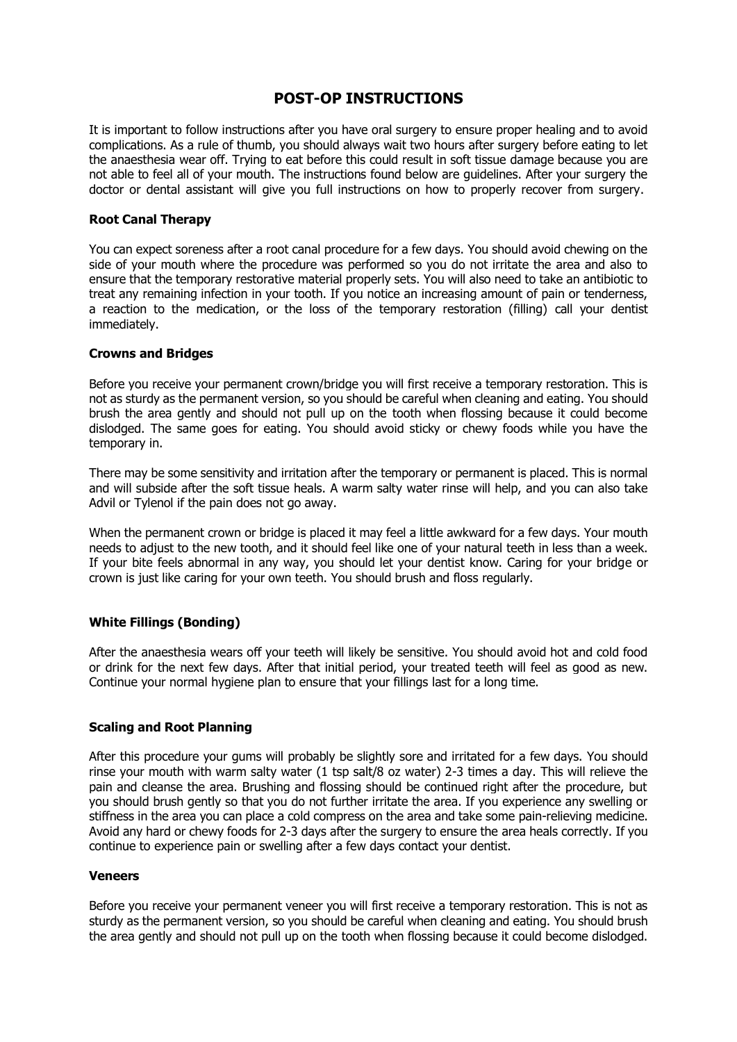# **POST-OP INSTRUCTIONS**

It is important to follow instructions after you have oral surgery to ensure proper healing and to avoid complications. As a rule of thumb, you should always wait two hours after surgery before eating to let the anaesthesia wear off. Trying to eat before this could result in soft tissue damage because you are not able to feel all of your mouth. The instructions found below are guidelines. After your surgery the doctor or dental assistant will give you full instructions on how to properly recover from surgery.

#### **Root Canal Therapy**

You can expect soreness after a root canal procedure for a few days. You should avoid chewing on the side of your mouth where the procedure was performed so you do not irritate the area and also to ensure that the temporary restorative material properly sets. You will also need to take an antibiotic to treat any remaining infection in your tooth. If you notice an increasing amount of pain or tenderness, a reaction to the medication, or the loss of the temporary restoration (filling) call your dentist immediately.

### **Crowns and Bridges**

Before you receive your permanent crown/bridge you will first receive a temporary restoration. This is not as sturdy as the permanent version, so you should be careful when cleaning and eating. You should brush the area gently and should not pull up on the tooth when flossing because it could become dislodged. The same goes for eating. You should avoid sticky or chewy foods while you have the temporary in.

There may be some sensitivity and irritation after the temporary or permanent is placed. This is normal and will subside after the soft tissue heals. A warm salty water rinse will help, and you can also take Advil or Tylenol if the pain does not go away.

When the permanent crown or bridge is placed it may feel a little awkward for a few days. Your mouth needs to adjust to the new tooth, and it should feel like one of your natural teeth in less than a week. If your bite feels abnormal in any way, you should let your dentist know. Caring for your bridge or crown is just like caring for your own teeth. You should brush and floss regularly.

## **White Fillings (Bonding)**

After the anaesthesia wears off your teeth will likely be sensitive. You should avoid hot and cold food or drink for the next few days. After that initial period, your treated teeth will feel as good as new. Continue your normal hygiene plan to ensure that your fillings last for a long time.

## **Scaling and Root Planning**

After this procedure your gums will probably be slightly sore and irritated for a few days. You should rinse your mouth with warm salty water (1 tsp salt/8 oz water) 2-3 times a day. This will relieve the pain and cleanse the area. Brushing and flossing should be continued right after the procedure, but you should brush gently so that you do not further irritate the area. If you experience any swelling or stiffness in the area you can place a cold compress on the area and take some pain-relieving medicine. Avoid any hard or chewy foods for 2-3 days after the surgery to ensure the area heals correctly. If you continue to experience pain or swelling after a few days contact your dentist.

### **Veneers**

Before you receive your permanent veneer you will first receive a temporary restoration. This is not as sturdy as the permanent version, so you should be careful when cleaning and eating. You should brush the area gently and should not pull up on the tooth when flossing because it could become dislodged.